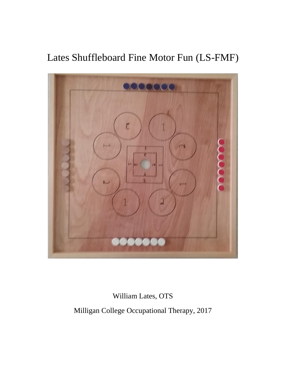# Lates Shuffleboard Fine Motor Fun (LS-FMF)



William Lates, OTS

Milligan College Occupational Therapy, 2017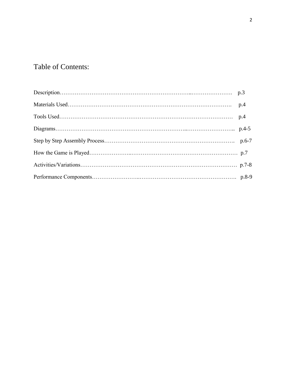# Table of Contents: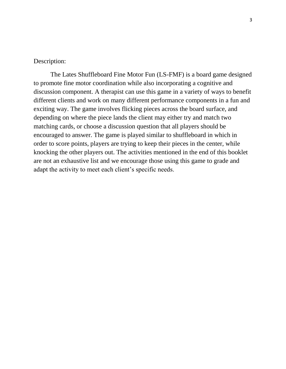#### Description:

The Lates Shuffleboard Fine Motor Fun (LS-FMF) is a board game designed to promote fine motor coordination while also incorporating a cognitive and discussion component. A therapist can use this game in a variety of ways to benefit different clients and work on many different performance components in a fun and exciting way. The game involves flicking pieces across the board surface, and depending on where the piece lands the client may either try and match two matching cards, or choose a discussion question that all players should be encouraged to answer. The game is played similar to shuffleboard in which in order to score points, players are trying to keep their pieces in the center, while knocking the other players out. The activities mentioned in the end of this booklet are not an exhaustive list and we encourage those using this game to grade and adapt the activity to meet each client's specific needs.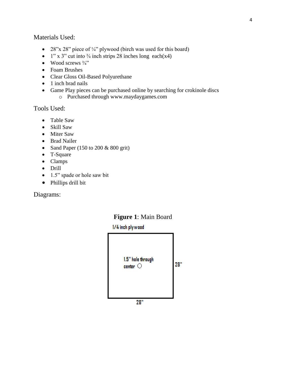#### Materials Used:

- 28"x 28" piece of  $\frac{1}{4}$ " plywood (birch was used for this board)
- 1" x 3" cut into  $\frac{3}{4}$  inch strips 28 inches long each(x4)
- Wood screws  $\frac{3}{4}$ "
- Foam Brushes
- Clear Gloss Oil-Based Polyurethane
- 1 inch brad nails
- Game Play pieces can be purchased online by searching for crokinole discs
	- o Purchased through www.maydaygames.com

Tools Used:

- Table Saw
- Skill Saw
- Miter Saw
- Brad Nailer
- Sand Paper (150 to 200 & 800 grit)
- T-Square
- Clamps
- Drill
- 1.5" spade or hole saw bit
- Phillips drill bit

Diagrams:



**Figure 1**: Main Board

#### 1/4 inch plywood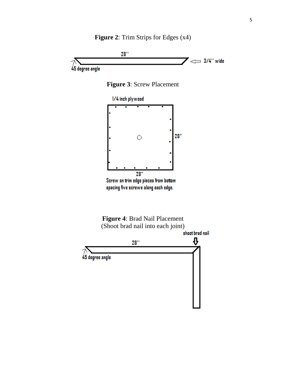**Figure 2**: Trim Strips for Edges (x4)







spacing five screws along each edge.



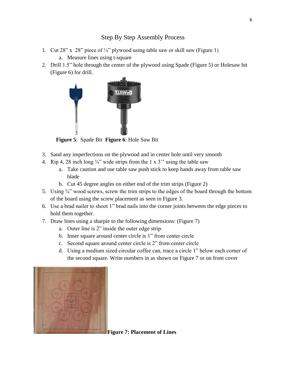# Step By Step Assembly Process

- 1. Cut 28" x 28" piece of  $\frac{1}{4}$ " plywood using table saw or skill saw (Figure 1)
	- a. Measure lines using t-square
- 2. Drill 1.5" hole through the center of the plywood using Spade (Figure 5) or Holesaw bit (Figure 6) for drill.



 **Figure 5**:Spade Bit **Figure 6**: Hole Saw Bit

- 3. Sand any imperfections on the plywood and in center hole until very smooth
- 4. Rip 4, 28 inch long  $\frac{3}{4}$ " wide strips from the 1 x 3" using the table saw
	- a. Take caution and use table saw push stick to keep hands away from table saw blade
	- b. Cut 45 degree angles on either end of the trim strips (Figure 2)
- 5. Using  $\frac{3}{4}$ " wood screws, screw the trim strips to the edges of the board through the bottom of the board using the screw placement as seen in Figure 3.
- 6. Use a brad nailer to shoot 1" brad nails into the corner joints between the edge pieces to hold them together.
- 7. Draw lines using a sharpie to the following dimensions: (Figure 7)
	- a. Outer line is 2" inside the outer edge strip.
	- b. Inner square around center circle is 1" from center circle
	- c. Second square around center circle is 2" from center circle
	- d. Using a medium sized circular coffee can, trace a circle 1" below each corner of the second square. Write numbers in as shown on Figure 7 or on front cover



**Figure 7: Placement of Lines**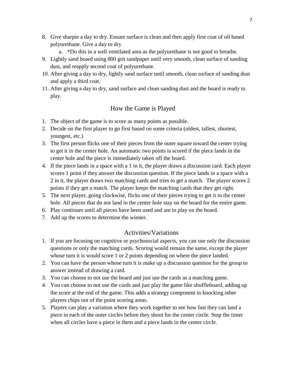- 8. Give sharpie a day to dry. Ensure surface is clean and then apply first coat of oil based polyurethane. Give a day to dry
	- a. \*Do this in a well ventilated area as the polyurethane is not good to breathe.
- 9. Lightly sand board using 800 grit sandpaper until very smooth, clean surface of sanding dust, and reapply second coat of polyurethane.
- 10. After giving a day to dry, lightly sand surface until smooth, clean surface of sanding dust and apply a third coat.
- 11. After giving a day to dry, sand surface and clean sanding dust and the board is ready to play.

# How the Game is Played

- 1. The object of the game is to score as many points as possible.
- 2. Decide on the first player to go first based on some criteria (oldest, tallest, shortest, youngest, etc.)
- 3. The first person flicks one of their pieces from the outer square toward the center trying to get it in the center hole. An automatic two points is scored if the piece lands in the center hole and the piece is immediately taken off the board.
- 4. If the piece lands in a space with a 1 in it, the player draws a discussion card. Each player scores 1 point if they answer the discussion question. If the piece lands in a space with a 2 in it, the player draws two matching cards and tries to get a match. The player scores 2 points if they get a match. The player keeps the matching cards that they get right.
- 5. The next player, going clockwise, flicks one of their pieces trying to get it in the center hole. All pieces that do not land in the center hole stay on the board for the entire game.
- 6. Play continues until all pieces have been used and are in play on the board.
- 7. Add up the scores to determine the winner.

# Activities/Variations

- 1. If you are focusing on cognitive or psychosocial aspects, you can use only the discussion questions or only the matching cards. Scoring would remain the same, except the player whose turn it is would score 1 or 2 points depending on where the piece landed.
- 2. You can have the person whose turn it is make up a discussion question for the group to answer instead of drawing a card.
- 3. You can choose to not use the board and just use the cards as a matching game.
- 4. You can choose to not use the cards and just play the game like shuffleboard, adding up the score at the end of the game. This adds a strategy component in knocking other players chips out of the point scoring areas.
- 5. Players can play a variation where they work together to see how fast they can land a piece in each of the outer circles before they shoot for the center circle. Stop the timer when all circles have a piece in them and a piece lands in the center circle.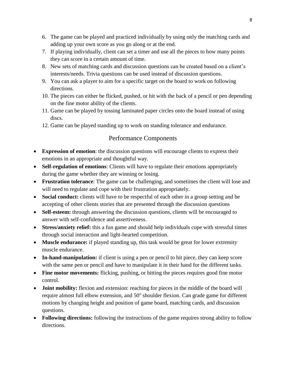- 6. The game can be played and practiced individually by using only the matching cards and adding up your own score as you go along or at the end.
- 7. If playing individually, client can set a timer and use all the pieces to how many points they can score in a certain amount of time.
- 8. New sets of matching cards and discussion questions can be created based on a client's interests/needs. Trivia questions can be used instead of discussion questions.
- 9. You can ask a player to aim for a specific target on the board to work on following directions.
- 10. The pieces can either be flicked, pushed, or hit with the back of a pencil or pen depending on the fine motor ability of the clients.
- 11. Game can be played by tossing laminated paper circles onto the board instead of using discs.
- 12. Game can be played standing up to work on standing tolerance and endurance.

# Performance Components

- **Expression of emotion**: the discussion questions will encourage clients to express their emotions in an appropriate and thoughtful way.
- **Self-regulation of emotions**: Clients will have to regulate their emotions appropriately during the game whether they are winning or losing.
- **Frustration tolerance**: The game can be challenging, and sometimes the client will lose and will need to regulate and cope with their frustration appropriately.
- **Social conduct:** clients will have to be respectful of each other in a group setting and be accepting of other clients stories that are presented through the discussion questions
- **Self-esteem:** through answering the discussion questions, clients will be encouraged to answer with self-confidence and assertiveness.
- **Stress/anxiety relief:** this a fun game and should help individuals cope with stressful times through social interaction and light-hearted competition.
- **Muscle endurance:** if played standing up, this task would be great for lower extremity muscle endurance.
- In-hand-manipulation: if client is using a pen or pencil to hit piece, they can keep score with the same pen or pencil and have to manipulate it in their hand for the different tasks.
- **Fine motor movements:** flicking, pushing, or hitting the pieces requires good fine motor control.
- **Joint mobility:** flexion and extension: reaching for pieces in the middle of the board will require almost full elbow extension, and 50° shoulder flexion. Can grade game for different motions by changing height and position of game board, matching cards, and discussion questions.
- **Following directions:** following the instructions of the game requires strong ability to follow directions.